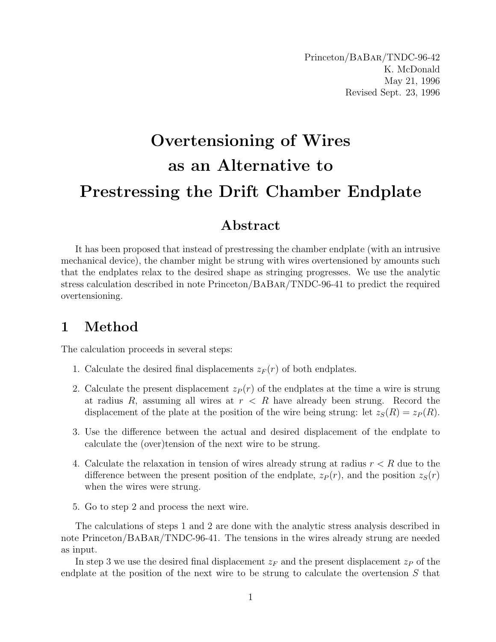## Overtensioning of Wires as an Alternative to Prestressing the Drift Chamber Endplate

## Abstract

It has been proposed that instead of prestressing the chamber endplate (with an intrusive mechanical device), the chamber might be strung with wires overtensioned by amounts such that the endplates relax to the desired shape as stringing progresses. We use the analytic stress calculation described in note Princeton/BaBar/TNDC-96-41 to predict the required overtensioning.

## 1 Method

The calculation proceeds in several steps:

- 1. Calculate the desired final displacements  $z_F(r)$  of both endplates.
- 2. Calculate the present displacement  $z_P(r)$  of the endplates at the time a wire is strung at radius  $R$ , assuming all wires at  $r < R$  have already been strung. Record the displacement of the plate at the position of the wire being strung: let  $z_S(R) = z_P(R)$ .
- 3. Use the difference between the actual and desired displacement of the endplate to calculate the (over)tension of the next wire to be strung.
- 4. Calculate the relaxation in tension of wires already strung at radius  $r < R$  due to the difference between the present position of the endplate,  $z_P(r)$ , and the position  $z_S(r)$ when the wires were strung.
- 5. Go to step 2 and process the next wire.

The calculations of steps 1 and 2 are done with the analytic stress analysis described in note Princeton/BaBar/TNDC-96-41. The tensions in the wires already strung are needed as input.

In step 3 we use the desired final displacement  $z_F$  and the present displacement  $z_P$  of the endplate at the position of the next wire to be strung to calculate the overtension  $S$  that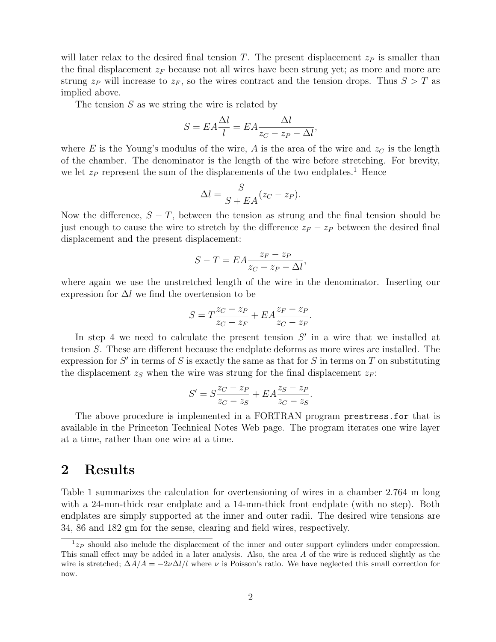will later relax to the desired final tension T. The present displacement  $z_P$  is smaller than the final displacement  $z_F$  because not all wires have been strung yet; as more and more are strung  $z_P$  will increase to  $z_F$ , so the wires contract and the tension drops. Thus  $S > T$  as implied above.

The tension  $S$  as we string the wire is related by

$$
S = EA \frac{\Delta l}{l} = EA \frac{\Delta l}{z_C - z_P - \Delta l},
$$

where E is the Young's modulus of the wire, A is the area of the wire and  $z<sub>C</sub>$  is the length of the chamber. The denominator is the length of the wire before stretching. For brevity, we let  $z_P$  represent the sum of the displacements of the two endplates.<sup>1</sup> Hence

$$
\Delta l = \frac{S}{S + EA}(z_C - z_P).
$$

Now the difference,  $S - T$ , between the tension as strung and the final tension should be just enough to cause the wire to stretch by the difference  $z_F - z_P$  between the desired final displacement and the present displacement:

$$
S - T = EA \frac{z_F - z_P}{z_C - z_P - \Delta l},
$$

where again we use the unstretched length of the wire in the denominator. Inserting our expression for  $\Delta l$  we find the overtension to be

$$
S = T\frac{z_C - z_P}{z_C - z_F} + EA\frac{z_F - z_P}{z_C - z_F}.
$$

In step 4 we need to calculate the present tension  $S'$  in a wire that we installed at tension S. These are different because the endplate deforms as more wires are installed. The expression for  $S'$  in terms of S is exactly the same as that for S in terms on T on substituting the displacement  $z_S$  when the wire was strung for the final displacement  $z_F$ :

$$
S' = S\frac{z_C - z_P}{z_C - z_S} + EA\frac{z_S - z_P}{z_C - z_S}.
$$

The above procedure is implemented in a FORTRAN program prestress.for that is available in the Princeton Technical Notes Web page. The program iterates one wire layer at a time, rather than one wire at a time.

## 2 Results

Table 1 summarizes the calculation for overtensioning of wires in a chamber 2.764 m long with a 24-mm-thick rear endplate and a 14-mm-thick front endplate (with no step). Both endplates are simply supported at the inner and outer radii. The desired wire tensions are 34, 86 and 182 gm for the sense, clearing and field wires, respectively.

 $1_{z_P}$  should also include the displacement of the inner and outer support cylinders under compression. This small effect may be added in a later analysis. Also, the area A of the wire is reduced slightly as the wire is stretched;  $\Delta A/A = -2\nu\Delta l/l$  where  $\nu$  is Poisson's ratio. We have neglected this small correction for now.